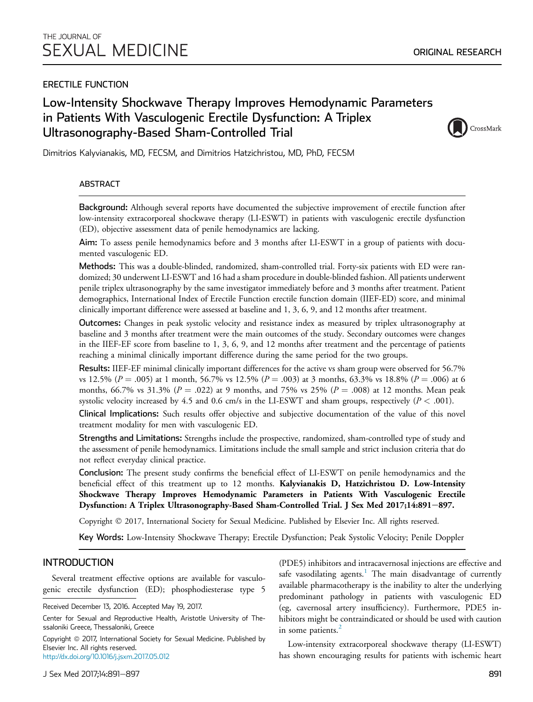## ERECTILE FUNCTION

# Low-Intensity Shockwave Therapy Improves Hemodynamic Parameters in Patients With Vasculogenic Erectile Dysfunction: A Triplex Ultrasonography-Based Sham-Controlled Trial



ORIGINAL RESEARCH

Dimitrios Kalyvianakis, MD, FECSM, and Dimitrios Hatzichristou, MD, PhD, FECSM

### ABSTRACT

Background: Although several reports have documented the subjective improvement of erectile function after low-intensity extracorporeal shockwave therapy (LI-ESWT) in patients with vasculogenic erectile dysfunction (ED), objective assessment data of penile hemodynamics are lacking.

Aim: To assess penile hemodynamics before and 3 months after LI-ESWT in a group of patients with documented vasculogenic ED.

Methods: This was a double-blinded, randomized, sham-controlled trial. Forty-six patients with ED were randomized; 30 underwent LI-ESWT and 16 had a sham procedure in double-blinded fashion. All patients underwent penile triplex ultrasonography by the same investigator immediately before and 3 months after treatment. Patient demographics, International Index of Erectile Function erectile function domain (IIEF-ED) score, and minimal clinically important difference were assessed at baseline and 1, 3, 6, 9, and 12 months after treatment.

Outcomes: Changes in peak systolic velocity and resistance index as measured by triplex ultrasonography at baseline and 3 months after treatment were the main outcomes of the study. Secondary outcomes were changes in the IIEF-EF score from baseline to 1, 3, 6, 9, and 12 months after treatment and the percentage of patients reaching a minimal clinically important difference during the same period for the two groups.

Results: IIEF-EF minimal clinically important differences for the active vs sham group were observed for 56.7% vs 12.5% ( $P = .005$ ) at 1 month, 56.7% vs 12.5% ( $P = .003$ ) at 3 months, 63.3% vs 18.8% ( $P = .006$ ) at 6 months, 66.7% vs 31.3% ( $P = .022$ ) at 9 months, and 75% vs 25% ( $P = .008$ ) at 12 months. Mean peak systolic velocity increased by 4.5 and 0.6 cm/s in the LI-ESWT and sham groups, respectively ( $P < .001$ ).

Clinical Implications: Such results offer objective and subjective documentation of the value of this novel treatment modality for men with vasculogenic ED.

Strengths and Limitations: Strengths include the prospective, randomized, sham-controlled type of study and the assessment of penile hemodynamics. Limitations include the small sample and strict inclusion criteria that do not reflect everyday clinical practice.

Conclusion: The present study confirms the beneficial effect of LI-ESWT on penile hemodynamics and the beneficial effect of this treatment up to 12 months. Kalyvianakis D, Hatzichristou D. Low-Intensity Shockwave Therapy Improves Hemodynamic Parameters in Patients With Vasculogenic Erectile Dysfunction: A Triplex Ultrasonography-Based Sham-Controlled Trial. J Sex Med 2017;14:891–897.

Copyright 2017, International Society for Sexual Medicine. Published by Elsevier Inc. All rights reserved.

Key Words: Low-Intensity Shockwave Therapy; Erectile Dysfunction; Peak Systolic Velocity; Penile Doppler

## INTRODUCTION

Several treatment effective options are available for vasculogenic erectile dysfunction (ED); phosphodiesterase type 5

Copyright @ 2017, International Society for Sexual Medicine. Published by Elsevier Inc. All rights reserved.

<http://dx.doi.org/10.1016/j.jsxm.2017.05.012>

(PDE5) inhibitors and intracavernosal injections are effective and safe vasodilating agents.<sup>[1](#page-5-0)</sup> The main disadvantage of currently available pharmacotherapy is the inability to alter the underlying predominant pathology in patients with vasculogenic ED (eg, cavernosal artery insufficiency). Furthermore, PDE5 inhibitors might be contraindicated or should be used with caution in some patients. $^{2}$  $^{2}$  $^{2}$ 

Low-intensity extracorporeal shockwave therapy (LI-ESWT) has shown encouraging results for patients with ischemic heart

Received December 13, 2016. Accepted May 19, 2017.

Center for Sexual and Reproductive Health, Aristotle University of Thessaloniki Greece, Thessaloniki, Greece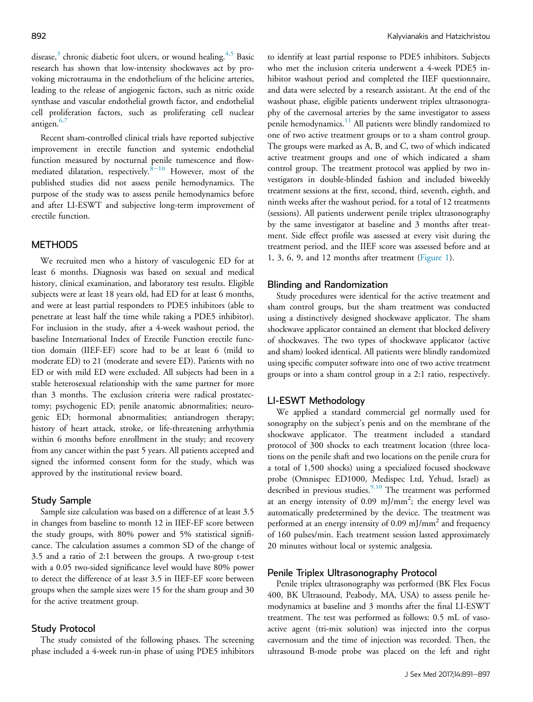disease,<sup>[3](#page-5-0)</sup> chronic diabetic foot ulcers, or wound healing.<sup>[4,5](#page-5-0)</sup> Basic research has shown that low-intensity shockwaves act by provoking microtrauma in the endothelium of the helicine arteries, leading to the release of angiogenic factors, such as nitric oxide synthase and vascular endothelial growth factor, and endothelial cell proliferation factors, such as proliferating cell nuclear antigen.<sup>[6,7](#page-6-0)</sup>

Recent sham-controlled clinical trials have reported subjective improvement in erectile function and systemic endothelial function measured by nocturnal penile tumescence and flowmediated dilatation, respectively. $8-10$  $8-10$  $8-10$  However, most of the published studies did not assess penile hemodynamics. The purpose of the study was to assess penile hemodynamics before and after LI-ESWT and subjective long-term improvement of erectile function.

### **METHODS**

We recruited men who a history of vasculogenic ED for at least 6 months. Diagnosis was based on sexual and medical history, clinical examination, and laboratory test results. Eligible subjects were at least 18 years old, had ED for at least 6 months, and were at least partial responders to PDE5 inhibitors (able to penetrate at least half the time while taking a PDE5 inhibitor). For inclusion in the study, after a 4-week washout period, the baseline International Index of Erectile Function erectile function domain (IIEF-EF) score had to be at least 6 (mild to moderate ED) to 21 (moderate and severe ED). Patients with no ED or with mild ED were excluded. All subjects had been in a stable heterosexual relationship with the same partner for more than 3 months. The exclusion criteria were radical prostatectomy; psychogenic ED; penile anatomic abnormalities; neurogenic ED; hormonal abnormalities; antiandrogen therapy; history of heart attack, stroke, or life-threatening arrhythmia within 6 months before enrollment in the study; and recovery from any cancer within the past 5 years. All patients accepted and signed the informed consent form for the study, which was approved by the institutional review board.

#### Study Sample

Sample size calculation was based on a difference of at least 3.5 in changes from baseline to month 12 in IIEF-EF score between the study groups, with 80% power and 5% statistical significance. The calculation assumes a common SD of the change of 3.5 and a ratio of 2:1 between the groups. A two-group t-test with a 0.05 two-sided significance level would have 80% power to detect the difference of at least 3.5 in IIEF-EF score between groups when the sample sizes were 15 for the sham group and 30 for the active treatment group.

#### Study Protocol

The study consisted of the following phases. The screening phase included a 4-week run-in phase of using PDE5 inhibitors to identify at least partial response to PDE5 inhibitors. Subjects who met the inclusion criteria underwent a 4-week PDE5 inhibitor washout period and completed the IIEF questionnaire, and data were selected by a research assistant. At the end of the washout phase, eligible patients underwent triplex ultrasonography of the cavernosal arteries by the same investigator to assess penile hemodynamics.<sup>[11](#page-6-0)</sup> All patients were blindly randomized to one of two active treatment groups or to a sham control group. The groups were marked as A, B, and C, two of which indicated active treatment groups and one of which indicated a sham control group. The treatment protocol was applied by two investigators in double-blinded fashion and included biweekly treatment sessions at the first, second, third, seventh, eighth, and ninth weeks after the washout period, for a total of 12 treatments (sessions). All patients underwent penile triplex ultrasonography by the same investigator at baseline and 3 months after treatment. Side effect profile was assessed at every visit during the treatment period, and the IIEF score was assessed before and at 1, 3, 6, 9, and 12 months after treatment [\(Figure 1\)](#page-2-0).

#### Blinding and Randomization

Study procedures were identical for the active treatment and sham control groups, but the sham treatment was conducted using a distinctively designed shockwave applicator. The sham shockwave applicator contained an element that blocked delivery of shockwaves. The two types of shockwave applicator (active and sham) looked identical. All patients were blindly randomized using specific computer software into one of two active treatment groups or into a sham control group in a 2:1 ratio, respectively.

#### LI-ESWT Methodology

We applied a standard commercial gel normally used for sonography on the subject's penis and on the membrane of the shockwave applicator. The treatment included a standard protocol of 300 shocks to each treatment location (three locations on the penile shaft and two locations on the penile crura for a total of 1,500 shocks) using a specialized focused shockwave probe (Omnispec ED1000, Medispec Ltd, Yehud, Israel) as described in previous studies.<sup>[9,10](#page-6-0)</sup> The treatment was performed at an energy intensity of 0.09 mJ/mm<sup>2</sup>; the energy level was automatically predetermined by the device. The treatment was performed at an energy intensity of 0.09 mJ/mm<sup>2</sup> and frequency of 160 pulses/min. Each treatment session lasted approximately 20 minutes without local or systemic analgesia.

#### Penile Triplex Ultrasonography Protocol

Penile triplex ultrasonography was performed (BK Flex Focus 400, BK Ultrasound, Peabody, MA, USA) to assess penile hemodynamics at baseline and 3 months after the final LI-ESWT treatment. The test was performed as follows: 0.5 mL of vasoactive agent (tri-mix solution) was injected into the corpus cavernosum and the time of injection was recorded. Then, the ultrasound B-mode probe was placed on the left and right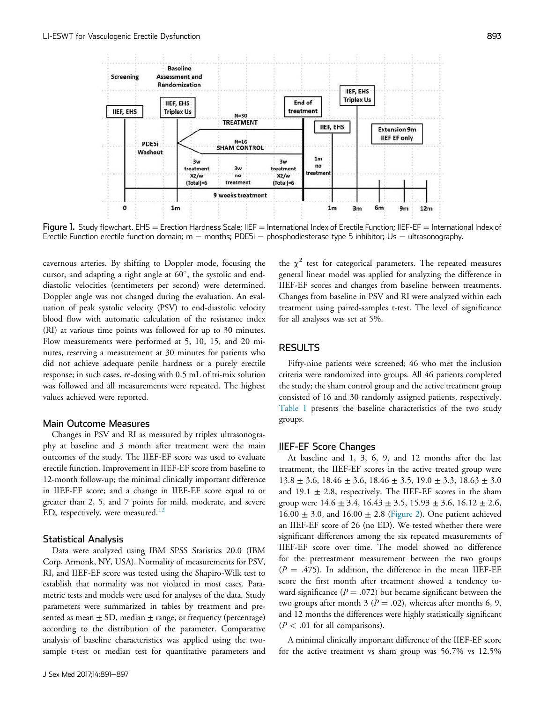<span id="page-2-0"></span>

Figure 1. Study flowchart. EHS = Erection Hardness Scale; IIEF = International Index of Erectile Function; IIEF-EF = International Index of Erectile Function erectile function domain;  $m =$  months; PDE5i = phosphodiesterase type 5 inhibitor; Us = ultrasonography.

cavernous arteries. By shifting to Doppler mode, focusing the cursor, and adapting a right angle at 60°, the systolic and enddiastolic velocities (centimeters per second) were determined. Doppler angle was not changed during the evaluation. An evaluation of peak systolic velocity (PSV) to end-diastolic velocity blood flow with automatic calculation of the resistance index (RI) at various time points was followed for up to 30 minutes. Flow measurements were performed at 5, 10, 15, and 20 minutes, reserving a measurement at 30 minutes for patients who did not achieve adequate penile hardness or a purely erectile response; in such cases, re-dosing with 0.5 mL of tri-mix solution was followed and all measurements were repeated. The highest values achieved were reported.

#### Main Outcome Measures

Changes in PSV and RI as measured by triplex ultrasonography at baseline and 3 month after treatment were the main outcomes of the study. The IIEF-EF score was used to evaluate erectile function. Improvement in IIEF-EF score from baseline to 12-month follow-up; the minimal clinically important difference in IIEF-EF score; and a change in IIEF-EF score equal to or greater than 2, 5, and 7 points for mild, moderate, and severe ED, respectively, were measured.<sup>[12](#page-6-0)</sup>

#### Statistical Analysis

Data were analyzed using IBM SPSS Statistics 20.0 (IBM Corp, Armonk, NY, USA). Normality of measurements for PSV, RI, and IIEF-EF score was tested using the Shapiro-Wilk test to establish that normality was not violated in most cases. Parametric tests and models were used for analyses of the data. Study parameters were summarized in tables by treatment and presented as mean  $\pm$  SD, median  $\pm$  range, or frequency (percentage) according to the distribution of the parameter. Comparative analysis of baseline characteristics was applied using the twosample t-test or median test for quantitative parameters and

the  $\chi^2$  test for categorical parameters. The repeated measures general linear model was applied for analyzing the difference in IIEF-EF scores and changes from baseline between treatments. Changes from baseline in PSV and RI were analyzed within each treatment using paired-samples t-test. The level of significance for all analyses was set at 5%.

#### **RESULTS**

Fifty-nine patients were screened; 46 who met the inclusion criteria were randomized into groups. All 46 patients completed the study; the sham control group and the active treatment group consisted of 16 and 30 randomly assigned patients, respectively. [Table 1](#page-3-0) presents the baseline characteristics of the two study groups.

#### IIEF-EF Score Changes

At baseline and 1, 3, 6, 9, and 12 months after the last treatment, the IIEF-EF scores in the active treated group were  $13.8 \pm 3.6$ ,  $18.46 \pm 3.6$ ,  $18.46 \pm 3.5$ ,  $19.0 \pm 3.3$ ,  $18.63 \pm 3.0$ and  $19.1 \pm 2.8$ , respectively. The IIEF-EF scores in the sham group were  $14.6 \pm 3.4$ ,  $16.43 \pm 3.5$ ,  $15.93 \pm 3.6$ ,  $16.12 \pm 2.6$ ,  $16.00 \pm 3.0$ , and  $16.00 \pm 2.8$  [\(Figure 2\)](#page-3-0). One patient achieved an IIEF-EF score of 26 (no ED). We tested whether there were significant differences among the six repeated measurements of IIEF-EF score over time. The model showed no difference for the pretreatment measurement between the two groups  $(P = .475)$ . In addition, the difference in the mean IIEF-EF score the first month after treatment showed a tendency toward significance ( $P = .072$ ) but became significant between the two groups after month 3 ( $P = .02$ ), whereas after months 6, 9, and 12 months the differences were highly statistically significant  $(P < .01$  for all comparisons).

A minimal clinically important difference of the IIEF-EF score for the active treatment vs sham group was 56.7% vs 12.5%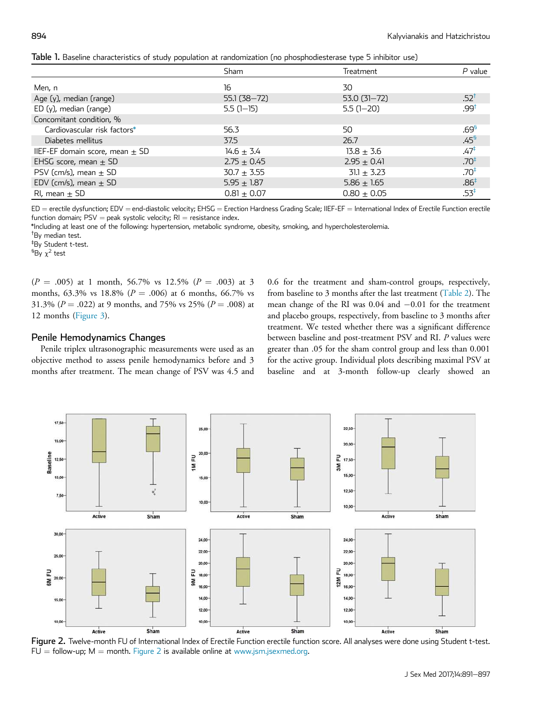<span id="page-3-0"></span>

|  |  |  |  |  | Table 1. Baseline characteristics of study population at randomization (no phosphodiesterase type 5 inhibitor use) |  |  |  |  |  |
|--|--|--|--|--|--------------------------------------------------------------------------------------------------------------------|--|--|--|--|--|
|--|--|--|--|--|--------------------------------------------------------------------------------------------------------------------|--|--|--|--|--|

|                                     |                 | $\cdots$        |                  |
|-------------------------------------|-----------------|-----------------|------------------|
|                                     | Sham            | Treatment       | $P$ value        |
| Men, n                              | 16              | 30              |                  |
| Age (y), median (range)             | $55.1(38 - 72)$ | $53.0(31 - 72)$ | $.52^{\dagger}$  |
| $ED(y)$ , median (range)            | $5.5(1-15)$     | $5.5(1-20)$     | 199.             |
| Concomitant condition, %            |                 |                 |                  |
| Cardiovascular risk factors*        | 56.3            | 50              | .69 <sup>5</sup> |
| Diabetes mellitus                   | 37.5            | 26.7            | .45 <sup>5</sup> |
| IIEF-EF domain score, mean $\pm$ SD | $14.6 \pm 3.4$  | $13.8 \pm 3.6$  | .47‡             |
| EHSG score, mean $\pm$ SD           | $2.75 \pm 0.45$ | $2.95 \pm 0.41$ | .70 <sup>‡</sup> |
| PSV (cm/s), mean $\pm$ SD           | $30.7 + 3.55$   | $31.1 \pm 3.23$ | $.70*$           |
| EDV (cm/s), mean $\pm$ SD           | $5.95 \pm 1.87$ | $5.86 \pm 1.65$ | $.86^{\ddagger}$ |
| RI, mean $\pm$ SD                   | $0.81 \pm 0.07$ | $0.80 \pm 0.05$ | $.53^{\ddagger}$ |

 $ED =$  erectile dysfunction; EDV = end-diastolic velocity; EHSG = Erection Hardness Grading Scale; IIEF-EF = International Index of Erectile Function erectile function domain;  $PSV =$  peak systolic velocity;  $RI =$  resistance index.

\*Including at least one of the following: hypertension, metabolic syndrome, obesity, smoking, and hypercholesterolemia.

†By median test.

‡ By Student t-test.

 ${}^5$ By  $\chi^2$  test

 $(P = .005)$  at 1 month, 56.7% vs 12.5%  $(P = .003)$  at 3 months, 63.3% vs 18.8% ( $P = .006$ ) at 6 months, 66.7% vs 31.3% ( $P = .022$ ) at 9 months, and 75% vs 25% ( $P = .008$ ) at 12 months ([Figure 3\)](#page-4-0).

#### Penile Hemodynamics Changes

Penile triplex ultrasonographic measurements were used as an objective method to assess penile hemodynamics before and 3 months after treatment. The mean change of PSV was 4.5 and 0.6 for the treatment and sham-control groups, respectively, from baseline to 3 months after the last treatment [\(Table 2](#page-4-0)). The mean change of the RI was  $0.04$  and  $-0.01$  for the treatment and placebo groups, respectively, from baseline to 3 months after treatment. We tested whether there was a significant difference between baseline and post-treatment PSV and RI. P values were greater than .05 for the sham control group and less than 0.001 for the active group. Individual plots describing maximal PSV at baseline and at 3-month follow-up clearly showed an



Figure 2. Twelve-month FU of International Index of Erectile Function erectile function score. All analyses were done using Student t-test.  $FU =$  follow-up;  $M =$  month. Figure 2 is available online at [www.jsm.jsexmed.org.](http://www.jsm.jsexmed.org)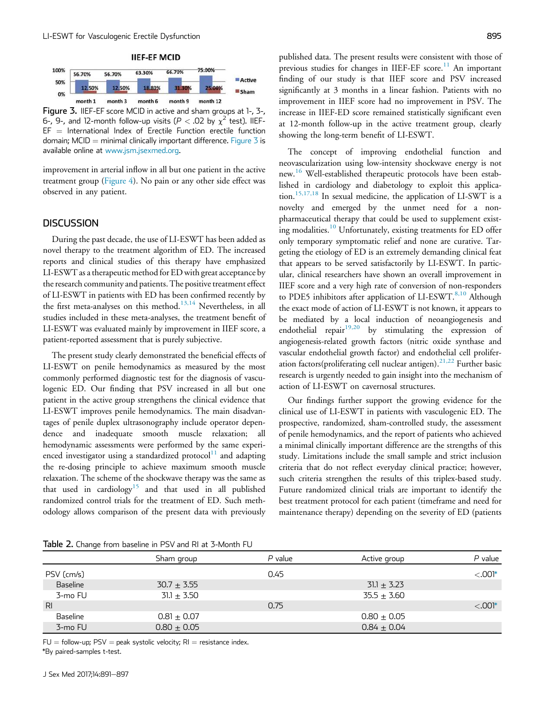<span id="page-4-0"></span>

Figure 3. IIEF-EF score MCID in active and sham groups at 1-, 3-, 6-, 9-, and 12-month follow-up visits (P  $<$  .02 by  $\chi^2$  test). IIEF- $EF =$  International Index of Erectile Function erectile function domain; MCID = minimal clinically important difference. Figure  $\frac{3}{5}$  is available online at [www.jsm.jsexmed.org](http://www.jsm.jsexmed.org).

improvement in arterial inflow in all but one patient in the active treatment group [\(Figure 4](#page-5-0)). No pain or any other side effect was observed in any patient.

#### **DISCUSSION**

During the past decade, the use of LI-ESWT has been added as novel therapy to the treatment algorithm of ED. The increased reports and clinical studies of this therapy have emphasized LI-ESWT as a therapeutic method for ED with great acceptance by the research community and patients. The positive treatment effect of LI-ESWT in patients with ED has been confirmed recently by the first meta-analyses on this method.<sup>[13,14](#page-6-0)</sup> Nevertheless, in all studies included in these meta-analyses, the treatment benefit of LI-ESWT was evaluated mainly by improvement in IIEF score, a patient-reported assessment that is purely subjective.

The present study clearly demonstrated the beneficial effects of LI-ESWT on penile hemodynamics as measured by the most commonly performed diagnostic test for the diagnosis of vasculogenic ED. Our finding that PSV increased in all but one patient in the active group strengthens the clinical evidence that LI-ESWT improves penile hemodynamics. The main disadvantages of penile duplex ultrasonography include operator dependence and inadequate smooth muscle relaxation; all hemodynamic assessments were performed by the same experienced investigator using a standardized protocol $11$  and adapting the re-dosing principle to achieve maximum smooth muscle relaxation. The scheme of the shockwave therapy was the same as that used in cardiology<sup>[15](#page-6-0)</sup> and that used in all published randomized control trials for the treatment of ED. Such methodology allows comparison of the present data with previously published data. The present results were consistent with those of previous studies for changes in IIEF-EF score.<sup>[11](#page-6-0)</sup> An important finding of our study is that IIEF score and PSV increased significantly at 3 months in a linear fashion. Patients with no improvement in IIEF score had no improvement in PSV. The increase in IIEF-ED score remained statistically significant even at 12-month follow-up in the active treatment group, clearly showing the long-term benefit of LI-ESWT.

The concept of improving endothelial function and neovascularization using low-intensity shockwave energy is not new.<sup>[16](#page-6-0)</sup> Well-established therapeutic protocols have been established in cardiology and diabetology to exploit this application.[15,17,18](#page-6-0) In sexual medicine, the application of LI-SWT is a novelty and emerged by the unmet need for a nonpharmaceutical therapy that could be used to supplement exist-ing modalities.<sup>[10](#page-6-0)</sup> Unfortunately, existing treatments for ED offer only temporary symptomatic relief and none are curative. Targeting the etiology of ED is an extremely demanding clinical feat that appears to be served satisfactorily by LI-ESWT. In particular, clinical researchers have shown an overall improvement in IIEF score and a very high rate of conversion of non-responders to PDE5 inhibitors after application of LI-ESWT.<sup>[8,10](#page-6-0)</sup> Although the exact mode of action of LI-ESWT is not known, it appears to be mediated by a local induction of neoangiogenesis and endothelial repair $19,20$  by stimulating the expression of angiogenesis-related growth factors (nitric oxide synthase and vascular endothelial growth factor) and endothelial cell proliferation factors(proliferating cell nuclear antigen). $^{21,22}$  $^{21,22}$  $^{21,22}$  Further basic research is urgently needed to gain insight into the mechanism of action of LI-ESWT on cavernosal structures.

Our findings further support the growing evidence for the clinical use of LI-ESWT in patients with vasculogenic ED. The prospective, randomized, sham-controlled study, the assessment of penile hemodynamics, and the report of patients who achieved a minimal clinically important difference are the strengths of this study. Limitations include the small sample and strict inclusion criteria that do not reflect everyday clinical practice; however, such criteria strengthen the results of this triplex-based study. Future randomized clinical trials are important to identify the best treatment protocol for each patient (timeframe and need for maintenance therapy) depending on the severity of ED (patients

Table 2. Change from baseline in PSV and RI at 3-Month FU

|                | Sham group      | $P$ value | Active group    | $P$ value  |
|----------------|-----------------|-----------|-----------------|------------|
| PSV (cm/s)     |                 | 0.45      |                 | $< 0.001*$ |
| Baseline       | $30.7 \pm 3.55$ |           | $31.1 \pm 3.23$ |            |
| 3-mo FU        | $31.1 \pm 3.50$ |           | $35.5 + 3.60$   |            |
| R <sub>l</sub> |                 | 0.75      |                 | $< 0.001*$ |
| Baseline       | $0.81 + 0.07$   |           | $0.80 + 0.05$   |            |
| 3-mo FU        | $0.80 \pm 0.05$ |           | $0.84 \pm 0.04$ |            |

 $FU =$  follow-up;  $PSV =$  peak systolic velocity;  $RI =$  resistance index.

\*By paired-samples t-test.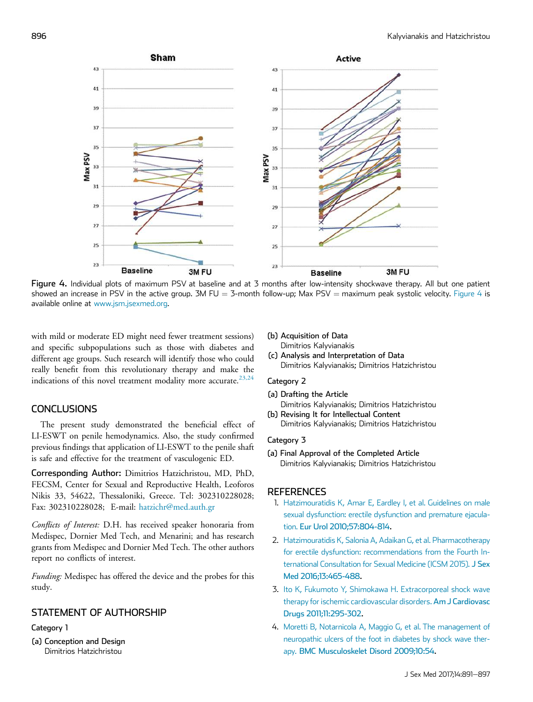<span id="page-5-0"></span>

Figure 4. Individual plots of maximum PSV at baseline and at 3 months after low-intensity shockwave therapy. All but one patient showed an increase in PSV in the active group. 3M FU = 3-month follow-up; Max PSV = maximum peak systolic velocity. Figure 4 is available online at [www.jsm.jsexmed.org.](http://www.jsm.jsexmed.org)

with mild or moderate ED might need fewer treatment sessions) and specific subpopulations such as those with diabetes and different age groups. Such research will identify those who could really benefit from this revolutionary therapy and make the indications of this novel treatment modality more accurate.<sup>[23,24](#page-6-0)</sup>

## **CONCLUSIONS**

The present study demonstrated the beneficial effect of LI-ESWT on penile hemodynamics. Also, the study confirmed previous findings that application of LI-ESWT to the penile shaft is safe and effective for the treatment of vasculogenic ED.

Corresponding Author: Dimitrios Hatzichristou, MD, PhD, FECSM, Center for Sexual and Reproductive Health, Leoforos Nikis 33, 54622, Thessaloniki, Greece. Tel: 302310228028; Fax: 302310228028; E-mail: [hatzichr@med.auth.gr](mailto:hatzichr@med.auth.gr)

Conflicts of Interest: D.H. has received speaker honoraria from Medispec, Dornier Med Tech, and Menarini; and has research grants from Medispec and Dornier Med Tech. The other authors report no conflicts of interest.

Funding: Medispec has offered the device and the probes for this study.

# STATEMENT OF AUTHORSHIP

### Category 1

(a) Conception and Design Dimitrios Hatzichristou

(b) Acquisition of Data

- Dimitrios Kalyvianakis
- (c) Analysis and Interpretation of Data Dimitrios Kalyvianakis; Dimitrios Hatzichristou

### Category 2

- (a) Drafting the Article Dimitrios Kalyvianakis; Dimitrios Hatzichristou
- (b) Revising It for Intellectual Content Dimitrios Kalyvianakis; Dimitrios Hatzichristou

#### Category 3

(a) Final Approval of the Completed Article Dimitrios Kalyvianakis; Dimitrios Hatzichristou

## **REFERENCES**

- 1. [Hatzimouratidis K, Amar E, Eardley I, et al. Guidelines on male](http://refhub.elsevier.com/S1743-6095(17)31261-4/sref1) [sexual dysfunction: erectile dysfunction and premature ejacula](http://refhub.elsevier.com/S1743-6095(17)31261-4/sref1)tion. [Eur Urol 2010;57:804-814](http://refhub.elsevier.com/S1743-6095(17)31261-4/sref1).
- 2. [Hatzimouratidis K, Salonia A, Adaikan G, et al. Pharmacotherapy](http://refhub.elsevier.com/S1743-6095(17)31261-4/sref2) [for erectile dysfunction: recommendations from the Fourth In](http://refhub.elsevier.com/S1743-6095(17)31261-4/sref2)[ternational Consultation for Sexual Medicine \(ICSM 2015\).](http://refhub.elsevier.com/S1743-6095(17)31261-4/sref2) J Sex [Med 2016;13:465-488](http://refhub.elsevier.com/S1743-6095(17)31261-4/sref2).
- 3. [Ito K, Fukumoto Y, Shimokawa H. Extracorporeal shock wave](http://refhub.elsevier.com/S1743-6095(17)31261-4/sref3) [therapy for ischemic cardiovascular disorders.](http://refhub.elsevier.com/S1743-6095(17)31261-4/sref3) Am J Cardiovasc [Drugs 2011;11:295-302.](http://refhub.elsevier.com/S1743-6095(17)31261-4/sref3)
- 4. [Moretti B, Notarnicola A, Maggio G, et al. The management of](http://refhub.elsevier.com/S1743-6095(17)31261-4/sref4) [neuropathic ulcers of the foot in diabetes by shock wave ther](http://refhub.elsevier.com/S1743-6095(17)31261-4/sref4)apy. [BMC Musculoskelet Disord 2009;10:54.](http://refhub.elsevier.com/S1743-6095(17)31261-4/sref4)